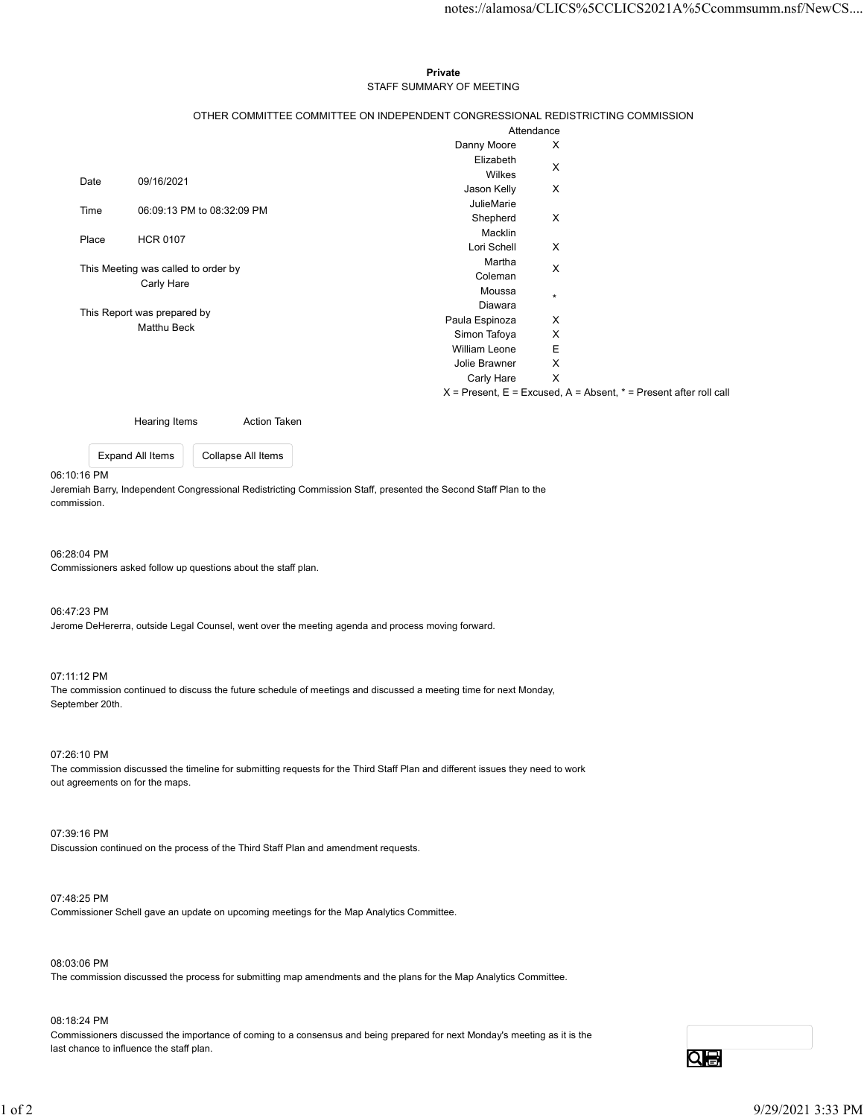### Private **Private** and *Private* and *Private* and *Private* and *Private* and *Private* and *Private* and *Private* and *Private* and *Private* and *Private* and *Private* and *Private* and *Private* and *Private* and *Pri* STAFF SUMMARY OF MEETING

|                             |                                                                                                               |                           | notes://alamosa/CLICS%5CCLICS2021A%5Ccommsumm.nsf/NewCS                   |
|-----------------------------|---------------------------------------------------------------------------------------------------------------|---------------------------|---------------------------------------------------------------------------|
|                             |                                                                                                               |                           |                                                                           |
|                             |                                                                                                               |                           |                                                                           |
|                             |                                                                                                               |                           |                                                                           |
|                             |                                                                                                               | Private                   |                                                                           |
|                             |                                                                                                               | STAFF SUMMARY OF MEETING  |                                                                           |
|                             |                                                                                                               |                           |                                                                           |
|                             | OTHER COMMITTEE COMMITTEE ON INDEPENDENT CONGRESSIONAL REDISTRICTING COMMISSION                               |                           |                                                                           |
|                             |                                                                                                               |                           | Attendance                                                                |
|                             |                                                                                                               | Danny Moore<br>Elizabeth  | $\boldsymbol{\mathsf{X}}$                                                 |
|                             |                                                                                                               | Wilkes                    | $\boldsymbol{\mathsf{X}}$                                                 |
| Date                        | 09/16/2021                                                                                                    | Jason Kelly               | X                                                                         |
|                             |                                                                                                               | JulieMarie                |                                                                           |
| Time                        | 06:09:13 PM to 08:32:09 PM                                                                                    | Shepherd                  | $\boldsymbol{\mathsf{X}}$                                                 |
| Place                       | <b>HCR 0107</b>                                                                                               | Macklin                   |                                                                           |
|                             |                                                                                                               | Lori Schell               | $\boldsymbol{\mathsf{X}}$                                                 |
|                             | This Meeting was called to order by                                                                           | Martha                    | $\boldsymbol{\mathsf{X}}$                                                 |
| Carly Hare                  |                                                                                                               | Coleman                   |                                                                           |
|                             |                                                                                                               | Moussa                    | $\star$                                                                   |
| This Report was prepared by |                                                                                                               | Diawara<br>Paula Espinoza | X                                                                         |
| Matthu Beck                 |                                                                                                               | Simon Tafoya              | X                                                                         |
|                             |                                                                                                               | William Leone             | Е                                                                         |
|                             |                                                                                                               | Jolie Brawner             | $\mathsf X$                                                               |
|                             |                                                                                                               | Carly Hare X              |                                                                           |
|                             |                                                                                                               |                           | $X =$ Present, $E =$ Excused, $A =$ Absent, $* =$ Present after roll call |
|                             |                                                                                                               |                           |                                                                           |
|                             | <b>Hearing Items</b><br>Action Taken                                                                          |                           |                                                                           |
|                             | Collapse All Items<br>Expand All Items                                                                        |                           |                                                                           |
|                             |                                                                                                               |                           |                                                                           |
|                             |                                                                                                               |                           |                                                                           |
| 10:16 PM                    | emiah Barry, Independent Congressional Redistricting Commission Staff, presented the Second Staff Plan to the |                           |                                                                           |

#### 06:10:16 PM

06:28:04 PM

Commissioners asked follow up questions about the staff plan.

06:47:23 PM Jerome DeHererra, outside Legal Counsel, went over the meeting agenda and process moving forward.

## 07:11:12 PM

The commission continued to discuss the future schedule of meetings and discussed a meeting time for next Monday, September 20th.

07:26:10 PM The commission discussed the timeline for submitting requests for the Third Staff Plan and different issues they need to work out agreements on for the maps. 07.26:10 PM<br>The commission discussed the timeline for submitting requests for the Third Staff Plan and different issues they need to work<br>out agreements on for the maps.<br>
07:39:16 PM<br>
Discussion continued on the process of

07:39:16 PM Discussion continued on the process of the Third Staff Plan and amendment requests.

#### 07:48:25 PM

Commissioner Schell gave an update on upcoming meetings for the Map Analytics Committee.

# 08:03:06 PM

The commission discussed the process for submitting map amendments and the plans for the Map Analytics Committee.

## 08:18:24 PM

Commissioners discussed the importance of coming to a consensus and being prepared for next Monday's meeting as it is the last chance to influence the staff plan.